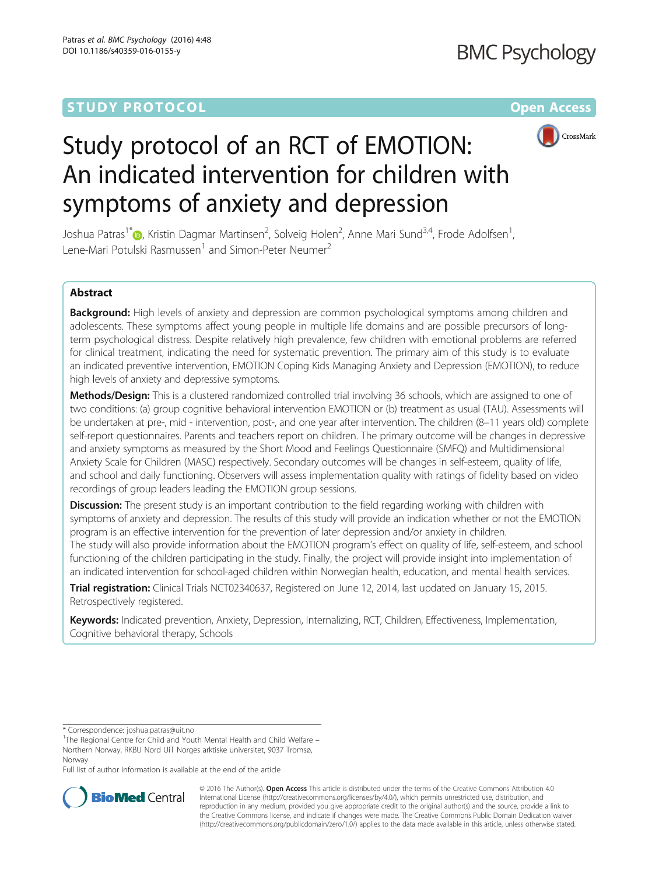# **STUDY PROTOCOL CONSUMING THE RESERVE ACCESS**



# Study protocol of an RCT of EMOTION: An indicated intervention for children with symptoms of anxiety and depression

Joshua Patras<sup>1\*</sup>�[,](http://orcid.org/0000-0001-5233-6188) Kristin Dagmar Martinsen<sup>2</sup>, Solveig Holen<sup>2</sup>, Anne Mari Sund<sup>3,4</sup>, Frode Adolfsen<sup>1</sup> , Lene-Mari Potulski Rasmussen<sup>1</sup> and Simon-Peter Neumer<sup>2</sup>

## Abstract

Background: High levels of anxiety and depression are common psychological symptoms among children and adolescents. These symptoms affect young people in multiple life domains and are possible precursors of longterm psychological distress. Despite relatively high prevalence, few children with emotional problems are referred for clinical treatment, indicating the need for systematic prevention. The primary aim of this study is to evaluate an indicated preventive intervention, EMOTION Coping Kids Managing Anxiety and Depression (EMOTION), to reduce high levels of anxiety and depressive symptoms.

Methods/Design: This is a clustered randomized controlled trial involving 36 schools, which are assigned to one of two conditions: (a) group cognitive behavioral intervention EMOTION or (b) treatment as usual (TAU). Assessments will be undertaken at pre-, mid - intervention, post-, and one year after intervention. The children (8–11 years old) complete self-report questionnaires. Parents and teachers report on children. The primary outcome will be changes in depressive and anxiety symptoms as measured by the Short Mood and Feelings Questionnaire (SMFQ) and Multidimensional Anxiety Scale for Children (MASC) respectively. Secondary outcomes will be changes in self-esteem, quality of life, and school and daily functioning. Observers will assess implementation quality with ratings of fidelity based on video recordings of group leaders leading the EMOTION group sessions.

Discussion: The present study is an important contribution to the field regarding working with children with symptoms of anxiety and depression. The results of this study will provide an indication whether or not the EMOTION program is an effective intervention for the prevention of later depression and/or anxiety in children. The study will also provide information about the EMOTION program's effect on quality of life, self-esteem, and school functioning of the children participating in the study. Finally, the project will provide insight into implementation of an indicated intervention for school-aged children within Norwegian health, education, and mental health services.

Trial registration: Clinical Trials [NCT02340637](https://clinicaltrials.gov/ct2/show/NCT02340637), Registered on June 12, 2014, last updated on January 15, 2015. Retrospectively registered.

Keywords: Indicated prevention, Anxiety, Depression, Internalizing, RCT, Children, Effectiveness, Implementation, Cognitive behavioral therapy, Schools

<sup>1</sup>The Regional Centre for Child and Youth Mental Health and Child Welfare – Northern Norway, RKBU Nord UiT Norges arktiske universitet, 9037 Tromsø, Norway

Full list of author information is available at the end of the article



© 2016 The Author(s). Open Access This article is distributed under the terms of the Creative Commons Attribution 4.0 International License [\(http://creativecommons.org/licenses/by/4.0/](http://creativecommons.org/licenses/by/4.0/)), which permits unrestricted use, distribution, and reproduction in any medium, provided you give appropriate credit to the original author(s) and the source, provide a link to the Creative Commons license, and indicate if changes were made. The Creative Commons Public Domain Dedication waiver [\(http://creativecommons.org/publicdomain/zero/1.0/](http://creativecommons.org/publicdomain/zero/1.0/)) applies to the data made available in this article, unless otherwise stated.

<sup>\*</sup> Correspondence: [joshua.patras@uit.no](mailto:joshua.patras@uit.no) <sup>1</sup>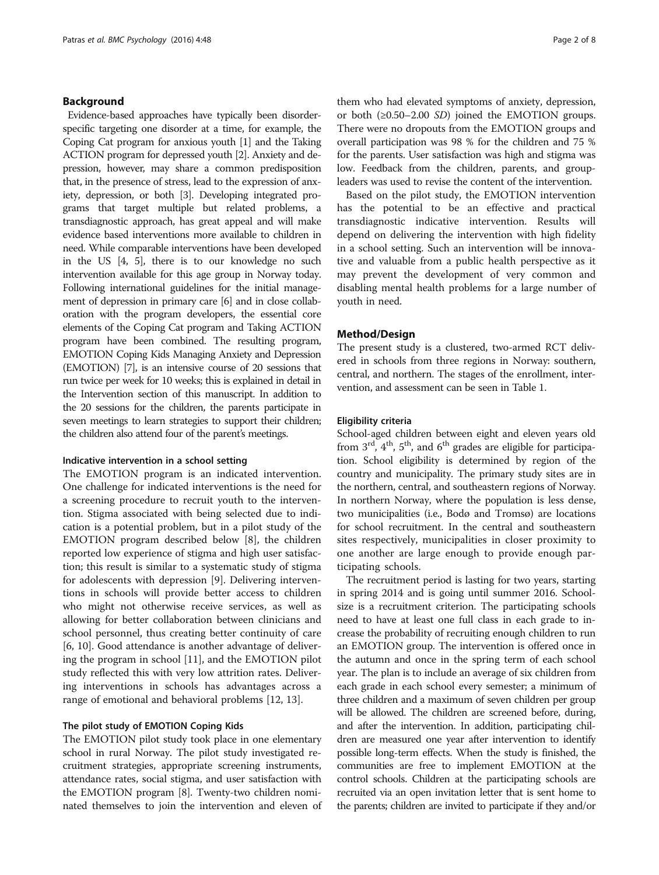#### Background

Evidence-based approaches have typically been disorderspecific targeting one disorder at a time, for example, the Coping Cat program for anxious youth [[1](#page-6-0)] and the Taking ACTION program for depressed youth [[2](#page-6-0)]. Anxiety and depression, however, may share a common predisposition that, in the presence of stress, lead to the expression of anxiety, depression, or both [\[3](#page-6-0)]. Developing integrated programs that target multiple but related problems, a transdiagnostic approach, has great appeal and will make evidence based interventions more available to children in need. While comparable interventions have been developed in the US [\[4, 5](#page-6-0)], there is to our knowledge no such intervention available for this age group in Norway today. Following international guidelines for the initial management of depression in primary care [\[6](#page-6-0)] and in close collaboration with the program developers, the essential core elements of the Coping Cat program and Taking ACTION program have been combined. The resulting program, EMOTION Coping Kids Managing Anxiety and Depression (EMOTION) [[7](#page-6-0)], is an intensive course of 20 sessions that run twice per week for 10 weeks; this is explained in detail in the Intervention section of this manuscript. In addition to the 20 sessions for the children, the parents participate in seven meetings to learn strategies to support their children; the children also attend four of the parent's meetings.

#### Indicative intervention in a school setting

The EMOTION program is an indicated intervention. One challenge for indicated interventions is the need for a screening procedure to recruit youth to the intervention. Stigma associated with being selected due to indication is a potential problem, but in a pilot study of the EMOTION program described below [\[8](#page-6-0)], the children reported low experience of stigma and high user satisfaction; this result is similar to a systematic study of stigma for adolescents with depression [[9\]](#page-6-0). Delivering interventions in schools will provide better access to children who might not otherwise receive services, as well as allowing for better collaboration between clinicians and school personnel, thus creating better continuity of care [[6, 10\]](#page-6-0). Good attendance is another advantage of delivering the program in school [[11](#page-6-0)], and the EMOTION pilot study reflected this with very low attrition rates. Delivering interventions in schools has advantages across a range of emotional and behavioral problems [[12, 13\]](#page-6-0).

#### The pilot study of EMOTION Coping Kids

The EMOTION pilot study took place in one elementary school in rural Norway. The pilot study investigated recruitment strategies, appropriate screening instruments, attendance rates, social stigma, and user satisfaction with the EMOTION program [\[8](#page-6-0)]. Twenty-two children nominated themselves to join the intervention and eleven of

them who had elevated symptoms of anxiety, depression, or both  $(\geq 0.50 - 2.00 \text{ SD})$  joined the EMOTION groups. There were no dropouts from the EMOTION groups and overall participation was 98 % for the children and 75 % for the parents. User satisfaction was high and stigma was low. Feedback from the children, parents, and groupleaders was used to revise the content of the intervention.

Based on the pilot study, the EMOTION intervention has the potential to be an effective and practical transdiagnostic indicative intervention. Results will depend on delivering the intervention with high fidelity in a school setting. Such an intervention will be innovative and valuable from a public health perspective as it may prevent the development of very common and disabling mental health problems for a large number of youth in need.

#### Method/Design

The present study is a clustered, two-armed RCT delivered in schools from three regions in Norway: southern, central, and northern. The stages of the enrollment, intervention, and assessment can be seen in Table [1](#page-2-0).

#### Eligibility criteria

School-aged children between eight and eleven years old from  $3<sup>rd</sup>$ ,  $4<sup>th</sup>$ ,  $5<sup>th</sup>$ , and  $6<sup>th</sup>$  grades are eligible for participation. School eligibility is determined by region of the country and municipality. The primary study sites are in the northern, central, and southeastern regions of Norway. In northern Norway, where the population is less dense, two municipalities (i.e., Bodø and Tromsø) are locations for school recruitment. In the central and southeastern sites respectively, municipalities in closer proximity to one another are large enough to provide enough participating schools.

The recruitment period is lasting for two years, starting in spring 2014 and is going until summer 2016. Schoolsize is a recruitment criterion. The participating schools need to have at least one full class in each grade to increase the probability of recruiting enough children to run an EMOTION group. The intervention is offered once in the autumn and once in the spring term of each school year. The plan is to include an average of six children from each grade in each school every semester; a minimum of three children and a maximum of seven children per group will be allowed. The children are screened before, during, and after the intervention. In addition, participating children are measured one year after intervention to identify possible long-term effects. When the study is finished, the communities are free to implement EMOTION at the control schools. Children at the participating schools are recruited via an open invitation letter that is sent home to the parents; children are invited to participate if they and/or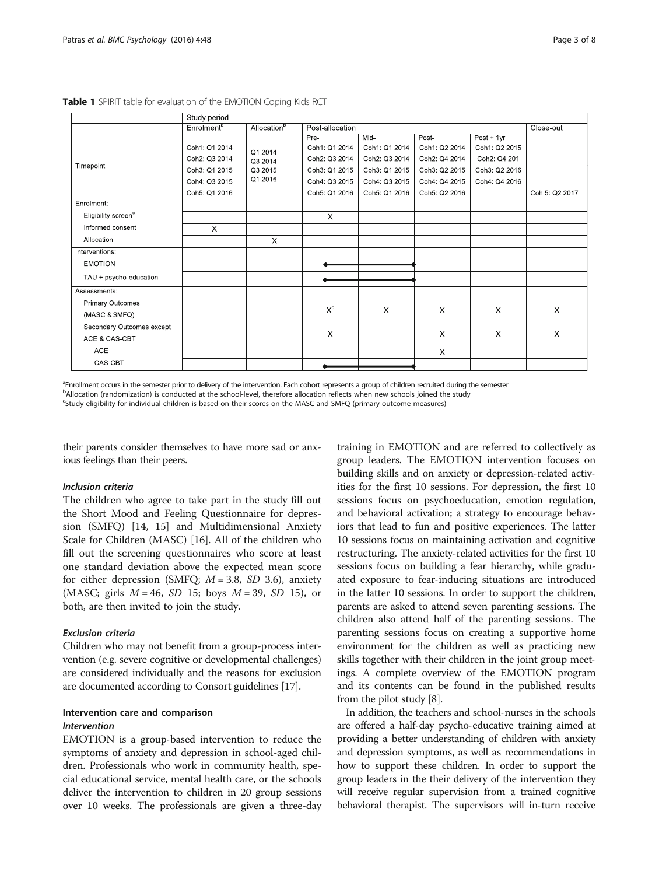|                                 | Study period           |                                          |                 |               |               |               |                |
|---------------------------------|------------------------|------------------------------------------|-----------------|---------------|---------------|---------------|----------------|
|                                 | Enrolment <sup>a</sup> | Allocation <sup>b</sup>                  | Post-allocation |               |               |               | Close-out      |
| Timepoint                       |                        |                                          | Pre-            | Mid-          | Post          | $Post + 1yr$  |                |
|                                 | Coh1: Q1 2014          | Q1 2014<br>Q3 2014<br>Q3 2015<br>Q1 2016 | Coh1: Q1 2014   | Coh1: Q1 2014 | Coh1: Q2 2014 | Coh1: Q2 2015 |                |
|                                 | Coh2: Q3 2014          |                                          | Coh2: Q3 2014   | Coh2: Q3 2014 | Coh2: Q4 2014 | Coh2: Q4 201  |                |
|                                 | Coh3: Q1 2015          |                                          | Coh3: Q1 2015   | Coh3: Q1 2015 | Coh3: Q2 2015 | Coh3: Q2 2016 |                |
|                                 | Coh4: Q3 2015          |                                          | Coh4: Q3 2015   | Coh4: Q3 2015 | Coh4: Q4 2015 | Coh4: Q4 2016 |                |
|                                 | Coh5: Q1 2016          |                                          | Coh5: Q1 2016   | Coh5: Q1 2016 | Coh5: Q2 2016 |               | Coh 5: Q2 2017 |
| Enrolment:                      |                        |                                          |                 |               |               |               |                |
| Eligibility screen <sup>c</sup> |                        |                                          | $\times$        |               |               |               |                |
| Informed consent                | $\mathsf{X}$           |                                          |                 |               |               |               |                |
| Allocation                      |                        | $\mathsf{X}$                             |                 |               |               |               |                |
| Interventions:                  |                        |                                          |                 |               |               |               |                |
| <b>EMOTION</b>                  |                        |                                          |                 |               |               |               |                |
| TAU + psycho-education          |                        |                                          |                 |               |               |               |                |
| Assessments:                    |                        |                                          |                 |               |               |               |                |
| Primary Outcomes                |                        |                                          |                 |               |               |               |                |
| (MASC & SMFQ)                   |                        |                                          | $X^{\rm c}$     | $\times$      | $\times$      | $\times$      | X              |
| Secondary Outcomes except       |                        |                                          |                 |               |               |               |                |
| ACE & CAS-CBT                   |                        |                                          | X               |               | $\times$      | $\times$      | X              |
| <b>ACE</b>                      |                        |                                          |                 |               | $\times$      |               |                |
| CAS-CBT                         |                        |                                          |                 |               |               |               |                |

<span id="page-2-0"></span>Table 1 SPIRIT table for evaluation of the EMOTION Coping Kids RCT

a<br>Enrollment occurs in the semester prior to delivery of the intervention. Each cohort represents a group of children recruited during the semester bAllocation (randomization) is conducted at the school-level, therefore allocation reflects when new schools joined the study c Study eligibility for individual children is based on their scores on the MASC and SMFQ (primary outcome measures)

their parents consider themselves to have more sad or anxious feelings than their peers.

#### Inclusion criteria

The children who agree to take part in the study fill out the Short Mood and Feeling Questionnaire for depression (SMFQ) [\[14, 15](#page-6-0)] and Multidimensional Anxiety Scale for Children (MASC) [\[16](#page-6-0)]. All of the children who fill out the screening questionnaires who score at least one standard deviation above the expected mean score for either depression (SMFQ;  $M = 3.8$ , SD 3.6), anxiety (MASC; girls  $M = 46$ , SD 15; boys  $M = 39$ , SD 15), or both, are then invited to join the study.

#### Exclusion criteria

Children who may not benefit from a group-process intervention (e.g. severe cognitive or developmental challenges) are considered individually and the reasons for exclusion are documented according to Consort guidelines [\[17\]](#page-6-0).

#### Intervention care and comparison Intervention

EMOTION is a group-based intervention to reduce the symptoms of anxiety and depression in school-aged children. Professionals who work in community health, special educational service, mental health care, or the schools deliver the intervention to children in 20 group sessions over 10 weeks. The professionals are given a three-day

training in EMOTION and are referred to collectively as group leaders. The EMOTION intervention focuses on building skills and on anxiety or depression-related activities for the first 10 sessions. For depression, the first 10 sessions focus on psychoeducation, emotion regulation, and behavioral activation; a strategy to encourage behaviors that lead to fun and positive experiences. The latter 10 sessions focus on maintaining activation and cognitive restructuring. The anxiety-related activities for the first 10 sessions focus on building a fear hierarchy, while graduated exposure to fear-inducing situations are introduced in the latter 10 sessions. In order to support the children, parents are asked to attend seven parenting sessions. The children also attend half of the parenting sessions. The parenting sessions focus on creating a supportive home environment for the children as well as practicing new skills together with their children in the joint group meetings. A complete overview of the EMOTION program and its contents can be found in the published results from the pilot study [\[8](#page-6-0)].

In addition, the teachers and school-nurses in the schools are offered a half-day psycho-educative training aimed at providing a better understanding of children with anxiety and depression symptoms, as well as recommendations in how to support these children. In order to support the group leaders in the their delivery of the intervention they will receive regular supervision from a trained cognitive behavioral therapist. The supervisors will in-turn receive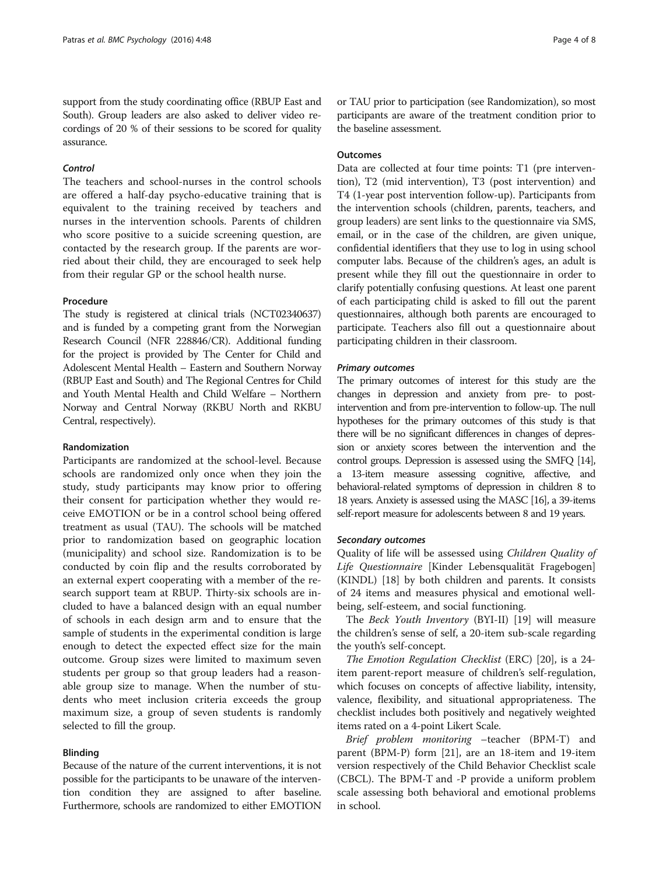support from the study coordinating office (RBUP East and South). Group leaders are also asked to deliver video recordings of 20 % of their sessions to be scored for quality assurance.

#### Control

The teachers and school-nurses in the control schools are offered a half-day psycho-educative training that is equivalent to the training received by teachers and nurses in the intervention schools. Parents of children who score positive to a suicide screening question, are contacted by the research group. If the parents are worried about their child, they are encouraged to seek help from their regular GP or the school health nurse.

#### Procedure

The study is registered at clinical trials (NCT02340637) and is funded by a competing grant from the Norwegian Research Council (NFR 228846/CR). Additional funding for the project is provided by The Center for Child and Adolescent Mental Health – Eastern and Southern Norway (RBUP East and South) and The Regional Centres for Child and Youth Mental Health and Child Welfare – Northern Norway and Central Norway (RKBU North and RKBU Central, respectively).

#### Randomization

Participants are randomized at the school-level. Because schools are randomized only once when they join the study, study participants may know prior to offering their consent for participation whether they would receive EMOTION or be in a control school being offered treatment as usual (TAU). The schools will be matched prior to randomization based on geographic location (municipality) and school size. Randomization is to be conducted by coin flip and the results corroborated by an external expert cooperating with a member of the research support team at RBUP. Thirty-six schools are included to have a balanced design with an equal number of schools in each design arm and to ensure that the sample of students in the experimental condition is large enough to detect the expected effect size for the main outcome. Group sizes were limited to maximum seven students per group so that group leaders had a reasonable group size to manage. When the number of students who meet inclusion criteria exceeds the group maximum size, a group of seven students is randomly selected to fill the group.

### Blinding

Because of the nature of the current interventions, it is not possible for the participants to be unaware of the intervention condition they are assigned to after baseline. Furthermore, schools are randomized to either EMOTION

or TAU prior to participation (see Randomization), so most participants are aware of the treatment condition prior to the baseline assessment.

#### **Outcomes**

Data are collected at four time points: T1 (pre intervention), T2 (mid intervention), T3 (post intervention) and T4 (1-year post intervention follow-up). Participants from the intervention schools (children, parents, teachers, and group leaders) are sent links to the questionnaire via SMS, email, or in the case of the children, are given unique, confidential identifiers that they use to log in using school computer labs. Because of the children's ages, an adult is present while they fill out the questionnaire in order to clarify potentially confusing questions. At least one parent of each participating child is asked to fill out the parent questionnaires, although both parents are encouraged to participate. Teachers also fill out a questionnaire about participating children in their classroom.

#### Primary outcomes

The primary outcomes of interest for this study are the changes in depression and anxiety from pre- to postintervention and from pre-intervention to follow-up. The null hypotheses for the primary outcomes of this study is that there will be no significant differences in changes of depression or anxiety scores between the intervention and the control groups. Depression is assessed using the SMFQ [[14\]](#page-6-0), a 13-item measure assessing cognitive, affective, and behavioral-related symptoms of depression in children 8 to 18 years. Anxiety is assessed using the MASC [[16\]](#page-6-0), a 39-items self-report measure for adolescents between 8 and 19 years.

#### Secondary outcomes

Quality of life will be assessed using Children Quality of Life Questionnaire [Kinder Lebensqualität Fragebogen] (KINDL) [\[18](#page-6-0)] by both children and parents. It consists of 24 items and measures physical and emotional wellbeing, self-esteem, and social functioning.

The Beck Youth Inventory (BYI-II) [[19](#page-6-0)] will measure the children's sense of self, a 20-item sub-scale regarding the youth's self-concept.

The Emotion Regulation Checklist (ERC) [\[20](#page-6-0)], is a 24 item parent-report measure of children's self-regulation, which focuses on concepts of affective liability, intensity, valence, flexibility, and situational appropriateness. The checklist includes both positively and negatively weighted items rated on a 4-point Likert Scale.

Brief problem monitoring –teacher (BPM-T) and parent (BPM-P) form [\[21\]](#page-6-0), are an 18-item and 19-item version respectively of the Child Behavior Checklist scale (CBCL). The BPM-T and -P provide a uniform problem scale assessing both behavioral and emotional problems in school.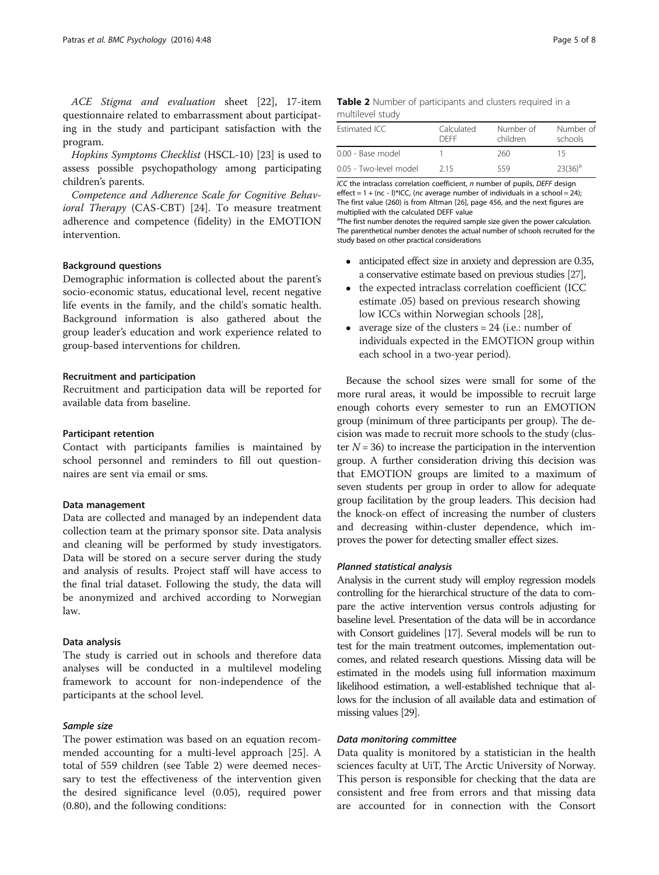ACE Stigma and evaluation sheet [\[22](#page-6-0)], 17-item questionnaire related to embarrassment about participating in the study and participant satisfaction with the program.

Hopkins Symptoms Checklist (HSCL-10) [\[23\]](#page-6-0) is used to assess possible psychopathology among participating children's parents.

Competence and Adherence Scale for Cognitive Behavioral Therapy (CAS-CBT) [\[24](#page-6-0)]. To measure treatment adherence and competence (fidelity) in the EMOTION intervention.

#### Background questions

Demographic information is collected about the parent's socio-economic status, educational level, recent negative life events in the family, and the child's somatic health. Background information is also gathered about the group leader's education and work experience related to group-based interventions for children.

#### Recruitment and participation

Recruitment and participation data will be reported for available data from baseline.

#### Participant retention

Contact with participants families is maintained by school personnel and reminders to fill out questionnaires are sent via email or sms.

#### Data management

Data are collected and managed by an independent data collection team at the primary sponsor site. Data analysis and cleaning will be performed by study investigators. Data will be stored on a secure server during the study and analysis of results. Project staff will have access to the final trial dataset. Following the study, the data will be anonymized and archived according to Norwegian law.

#### Data analysis

The study is carried out in schools and therefore data analyses will be conducted in a multilevel modeling framework to account for non-independence of the participants at the school level.

#### Sample size

The power estimation was based on an equation recommended accounting for a multi-level approach [[25\]](#page-6-0). A total of 559 children (see Table 2) were deemed necessary to test the effectiveness of the intervention given the desired significance level (0.05), required power (0.80), and the following conditions:

#### Table 2 Number of participants and clusters required in a multilevel study

| Estimated ICC          | Calculated<br><b>DEEE</b> | Number of<br>children | Number of<br>schools |
|------------------------|---------------------------|-----------------------|----------------------|
| 0.00 - Base model      |                           | 260                   | 15                   |
| 0.05 - Two-level model | 215                       | 559                   | $23(36)^a$           |

ICC the intraclass correlation coefficient, n number of pupils, DEFF design effect  $= 1 + (nc - 1)$ \*ICC, (nc average number of individuals in a school = 24); The first value (260) is from Altman [[26](#page-7-0)], page 456, and the next figures are multiplied with the calculated DEFF value

<sup>a</sup>The first number denotes the required sample size given the power calculation. The parenthetical number denotes the actual number of schools recruited for the study based on other practical considerations

- anticipated effect size in anxiety and depression are 0.35, a conservative estimate based on previous studies [[27\]](#page-7-0),
- the expected intraclass correlation coefficient (ICC estimate .05) based on previous research showing low ICCs within Norwegian schools [\[28\]](#page-7-0),
- average size of the clusters  $= 24$  (i.e.: number of individuals expected in the EMOTION group within each school in a two-year period).

Because the school sizes were small for some of the more rural areas, it would be impossible to recruit large enough cohorts every semester to run an EMOTION group (minimum of three participants per group). The decision was made to recruit more schools to the study (cluster  $N = 36$ ) to increase the participation in the intervention group. A further consideration driving this decision was that EMOTION groups are limited to a maximum of seven students per group in order to allow for adequate group facilitation by the group leaders. This decision had the knock-on effect of increasing the number of clusters and decreasing within-cluster dependence, which improves the power for detecting smaller effect sizes.

#### Planned statistical analysis

Analysis in the current study will employ regression models controlling for the hierarchical structure of the data to compare the active intervention versus controls adjusting for baseline level. Presentation of the data will be in accordance with Consort guidelines [\[17](#page-6-0)]. Several models will be run to test for the main treatment outcomes, implementation outcomes, and related research questions. Missing data will be estimated in the models using full information maximum likelihood estimation, a well-established technique that allows for the inclusion of all available data and estimation of missing values [\[29](#page-7-0)].

#### Data monitoring committee

Data quality is monitored by a statistician in the health sciences faculty at UiT, The Arctic University of Norway. This person is responsible for checking that the data are consistent and free from errors and that missing data are accounted for in connection with the Consort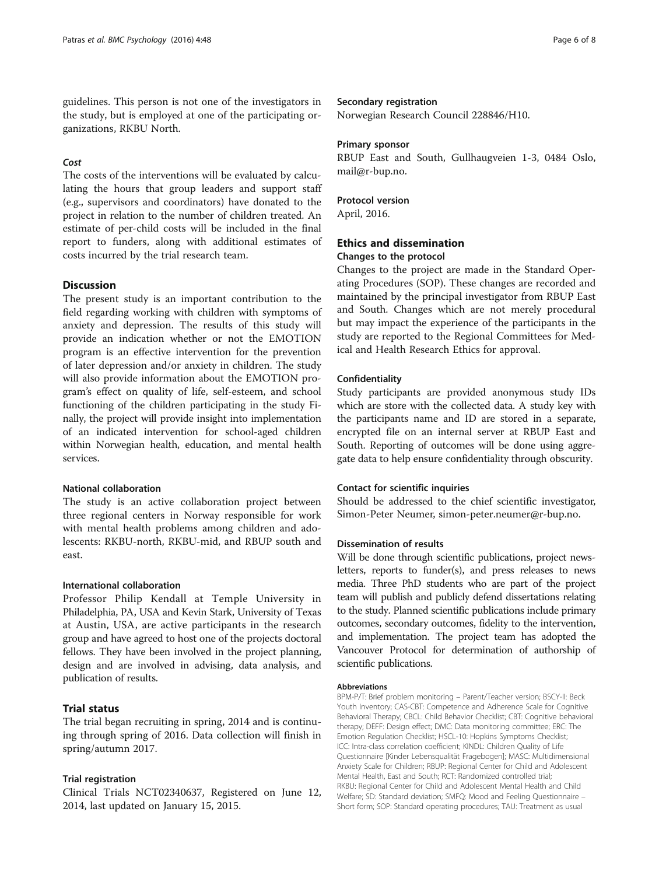guidelines. This person is not one of the investigators in the study, but is employed at one of the participating organizations, RKBU North.

#### Cost

The costs of the interventions will be evaluated by calculating the hours that group leaders and support staff (e.g., supervisors and coordinators) have donated to the project in relation to the number of children treated. An estimate of per-child costs will be included in the final report to funders, along with additional estimates of costs incurred by the trial research team.

#### **Discussion**

The present study is an important contribution to the field regarding working with children with symptoms of anxiety and depression. The results of this study will provide an indication whether or not the EMOTION program is an effective intervention for the prevention of later depression and/or anxiety in children. The study will also provide information about the EMOTION program's effect on quality of life, self-esteem, and school functioning of the children participating in the study Finally, the project will provide insight into implementation of an indicated intervention for school-aged children within Norwegian health, education, and mental health services.

#### National collaboration

The study is an active collaboration project between three regional centers in Norway responsible for work with mental health problems among children and adolescents: RKBU-north, RKBU-mid, and RBUP south and east.

#### International collaboration

Professor Philip Kendall at Temple University in Philadelphia, PA, USA and Kevin Stark, University of Texas at Austin, USA, are active participants in the research group and have agreed to host one of the projects doctoral fellows. They have been involved in the project planning, design and are involved in advising, data analysis, and publication of results.

#### Trial status

The trial began recruiting in spring, 2014 and is continuing through spring of 2016. Data collection will finish in spring/autumn 2017.

#### Trial registration

Clinical Trials NCT02340637, Registered on June 12, 2014, last updated on January 15, 2015.

#### Secondary registration

Norwegian Research Council 228846/H10.

#### Primary sponsor

RBUP East and South, Gullhaugveien 1-3, 0484 Oslo, mail@r-bup.no.

#### Protocol version

April, 2016.

#### Ethics and dissemination Changes to the protocol

Changes to the project are made in the Standard Operating Procedures (SOP). These changes are recorded and maintained by the principal investigator from RBUP East and South. Changes which are not merely procedural but may impact the experience of the participants in the study are reported to the Regional Committees for Medical and Health Research Ethics for approval.

#### Confidentiality

Study participants are provided anonymous study IDs which are store with the collected data. A study key with the participants name and ID are stored in a separate, encrypted file on an internal server at RBUP East and South. Reporting of outcomes will be done using aggregate data to help ensure confidentiality through obscurity.

#### Contact for scientific inquiries

Should be addressed to the chief scientific investigator, Simon-Peter Neumer, simon-peter.neumer@r-bup.no.

#### Dissemination of results

Will be done through scientific publications, project newsletters, reports to funder(s), and press releases to news media. Three PhD students who are part of the project team will publish and publicly defend dissertations relating to the study. Planned scientific publications include primary outcomes, secondary outcomes, fidelity to the intervention, and implementation. The project team has adopted the Vancouver Protocol for determination of authorship of scientific publications.

#### Abbreviations

BPM-P/T: Brief problem monitoring – Parent/Teacher version; BSCY-II: Beck Youth Inventory; CAS-CBT: Competence and Adherence Scale for Cognitive Behavioral Therapy; CBCL: Child Behavior Checklist; CBT: Cognitive behavioral therapy; DEFF: Design effect; DMC: Data monitoring committee; ERC: The Emotion Regulation Checklist; HSCL-10: Hopkins Symptoms Checklist; ICC: Intra-class correlation coefficient; KINDL: Children Quality of Life Questionnaire [Kinder Lebensqualität Fragebogen]; MASC: Multidimensional Anxiety Scale for Children; RBUP: Regional Center for Child and Adolescent Mental Health, East and South; RCT: Randomized controlled trial; RKBU: Regional Center for Child and Adolescent Mental Health and Child Welfare; SD: Standard deviation; SMFQ: Mood and Feeling Questionnaire – Short form; SOP: Standard operating procedures; TAU: Treatment as usual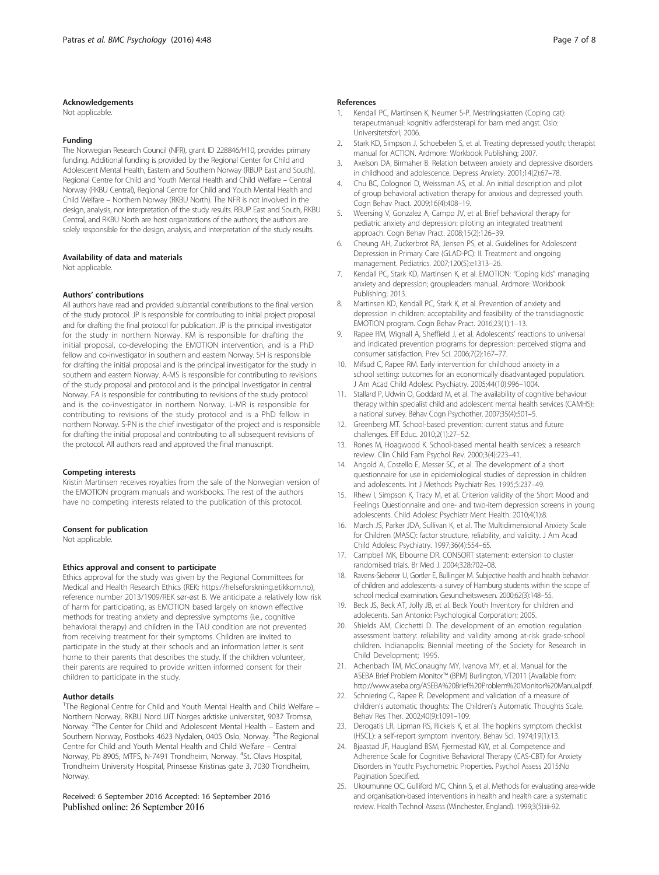#### <span id="page-6-0"></span>Acknowledgements

Not applicable.

#### Funding

The Norwegian Research Council (NFR), grant ID 228846/H10, provides primary funding. Additional funding is provided by the Regional Center for Child and Adolescent Mental Health, Eastern and Southern Norway (RBUP East and South), Regional Centre for Child and Youth Mental Health and Child Welfare – Central Norway (RKBU Central), Regional Centre for Child and Youth Mental Health and Child Welfare – Northern Norway (RKBU North). The NFR is not involved in the design, analysis, nor interpretation of the study results. RBUP East and South, RKBU Central, and RKBU North are host organizations of the authors; the authors are solely responsible for the design, analysis, and interpretation of the study results.

#### Availability of data and materials

Not applicable.

#### Authors' contributions

All authors have read and provided substantial contributions to the final version of the study protocol. JP is responsible for contributing to initial project proposal and for drafting the final protocol for publication. JP is the principal investigator for the study in northern Norway. KM is responsible for drafting the initial proposal, co-developing the EMOTION intervention, and is a PhD fellow and co-investigator in southern and eastern Norway. SH is responsible for drafting the initial proposal and is the principal investigator for the study in southern and eastern Norway. A-MS is responsible for contributing to revisions of the study proposal and protocol and is the principal investigator in central Norway. FA is responsible for contributing to revisions of the study protocol and is the co-investigator in northern Norway. L-MR is responsible for contributing to revisions of the study protocol and is a PhD fellow in northern Norway. S-PN is the chief investigator of the project and is responsible for drafting the initial proposal and contributing to all subsequent revisions of the protocol. All authors read and approved the final manuscript.

#### Competing interests

Kristin Martinsen receives royalties from the sale of the Norwegian version of the EMOTION program manuals and workbooks. The rest of the authors have no competing interests related to the publication of this protocol.

#### Consent for publication

Not applicable.

#### Ethics approval and consent to participate

Ethics approval for the study was given by the Regional Committees for Medical and Health Research Ethics (REK;<https://helseforskning.etikkom.no>), reference number 2013/1909/REK sør-øst B. We anticipate a relatively low risk of harm for participating, as EMOTION based largely on known effective methods for treating anxiety and depressive symptoms (i.e., cognitive behavioral therapy) and children in the TAU condition are not prevented from receiving treatment for their symptoms. Children are invited to participate in the study at their schools and an information letter is sent home to their parents that describes the study. If the children volunteer, their parents are required to provide written informed consent for their children to participate in the study.

#### Author details

<sup>1</sup>The Regional Centre for Child and Youth Mental Health and Child Welfare -Northern Norway, RKBU Nord UiT Norges arktiske universitet, 9037 Tromsø, Norway. <sup>2</sup>The Center for Child and Adolescent Mental Health - Eastern and Southern Norway, Postboks 4623 Nydalen, 0405 Oslo, Norway. <sup>3</sup>The Regional Centre for Child and Youth Mental Health and Child Welfare – Central Norway, Pb 8905, MTFS, N-7491 Trondheim, Norway. <sup>4</sup>St. Olavs Hospital, Trondheim University Hospital, Prinsesse Kristinas gate 3, 7030 Trondheim, Norway.

#### Received: 6 September 2016 Accepted: 16 September 2016 Published online: 26 September 2016

#### References

- Kendall PC, Martinsen K, Neumer S-P. Mestringskatten (Coping cat): terapeutmanual: kognitiv adferdsterapi for barn med angst. Oslo: Universitetsforl; 2006.
- 2. Stark KD, Simpson J, Schoebelen S, et al. Treating depressed youth; therapist manual for ACTION. Ardmore: Workbook Publishing; 2007.
- 3. Axelson DA, Birmaher B. Relation between anxiety and depressive disorders in childhood and adolescence. Depress Anxiety. 2001;14(2):67–78.
- 4. Chu BC, Colognori D, Weissman AS, et al. An initial description and pilot of group behavioral activation therapy for anxious and depressed youth. Cogn Behav Pract. 2009;16(4):408–19.
- 5. Weersing V, Gonzalez A, Campo JV, et al. Brief behavioral therapy for pediatric anxiety and depression: piloting an integrated treatment approach. Cogn Behav Pract. 2008;15(2):126–39.
- 6. Cheung AH, Zuckerbrot RA, Jensen PS, et al. Guidelines for Adolescent Depression in Primary Care (GLAD-PC): II. Treatment and ongoing management. Pediatrics. 2007;120(5):e1313–26.
- 7. Kendall PC, Stark KD, Martinsen K, et al. EMOTION: "Coping kids" managing anxiety and depression; groupleaders manual. Ardmore: Workbook Publishing; 2013.
- 8. Martinsen KD, Kendall PC, Stark K, et al. Prevention of anxiety and depression in children: acceptability and feasibility of the transdiagnostic EMOTION program. Cogn Behav Pract. 2016;23(1):1–13.
- 9. Rapee RM, Wignall A, Sheffield J, et al. Adolescents' reactions to universal and indicated prevention programs for depression: perceived stigma and consumer satisfaction. Prev Sci. 2006;7(2):167–77.
- 10. Mifsud C, Rapee RM. Early intervention for childhood anxiety in a school setting: outcomes for an economically disadvantaged population. J Am Acad Child Adolesc Psychiatry. 2005;44(10):996–1004.
- 11. Stallard P, Udwin O, Goddard M, et al. The availability of cognitive behaviour therapy within specialist child and adolescent mental health services (CAMHS): a national survey. Behav Cogn Psychother. 2007;35(4):501–5.
- 12. Greenberg MT. School-based prevention: current status and future challenges. Eff Educ. 2010;2(1):27–52.
- 13. Rones M, Hoagwood K. School-based mental health services: a research review. Clin Child Fam Psychol Rev. 2000;3(4):223–41.
- 14. Angold A, Costello E, Messer SC, et al. The development of a short questionnaire for use in epidemiological studies of depression in children and adolescents. Int J Methods Psychiatr Res. 1995;5:237–49.
- 15. Rhew I, Simpson K, Tracy M, et al. Criterion validity of the Short Mood and Feelings Questionnaire and one- and two-item depression screens in young adolescents. Child Adolesc Psychiatr Ment Health. 2010;4(1):8.
- 16. March JS, Parker JDA, Sullivan K, et al. The Multidimensional Anxiety Scale for Children (MASC): factor structure, reliability, and validity. J Am Acad Child Adolesc Psychiatry. 1997;36(4):554–65.
- 17. Campbell MK, Elbourne DR. CONSORT statement: extension to cluster randomised trials. Br Med J. 2004;328:702–08.
- 18. Ravens-Sieberer U, Gortler E, Bullinger M. Subjective health and health behavior of children and adolescents–a survey of Hamburg students within the scope of school medical examination. Gesundheitswesen. 2000;62(3):148–55.
- 19. Beck JS, Beck AT, Jolly JB, et al. Beck Youth Inventory for children and adolecents. San Antonio: Psychological Corporation; 2005.
- 20. Shields AM, Cicchetti D. The development of an emotion regulation assessment battery: reliability and validity among at-risk grade-school children. Indianapolis: Biennial meeting of the Society for Research in Child Development; 1995.
- 21. Achenbach TM, McConaughy MY, Ivanova MY, et al. Manual for the ASEBA Brief Problem Monitor™ (BPM) Burlington, VT2011 [Available from: [http://www.aseba.org/ASEBA%20Brief%20Problem%20Monitor%20Manual.pdf.](http://www.aseba.org/ASEBA%20Brief%20Problem%20Monitor%20Manual.pdf)
- 22. Schniering C, Rapee R. Development and validation of a measure of children's automatic thoughts: The Children's Automatic Thoughts Scale. Behav Res Ther. 2002;40(9):1091–109.
- 23. Derogatis LR, Lipman RS, Rickels K, et al. The hopkins symptom checklist (HSCL): a self-report symptom inventory. Behav Sci. 1974;19(1):13.
- 24. Bjaastad JF, Haugland BSM, Fjermestad KW, et al. Competence and Adherence Scale for Cognitive Behavioral Therapy (CAS-CBT) for Anxiety Disorders in Youth: Psychometric Properties. Psychol Assess 2015:No Pagination Specified.
- 25. Ukoumunne OC, Gulliford MC, Chinn S, et al. Methods for evaluating area-wide and organisation-based interventions in health and health care: a systematic review. Health Technol Assess (Winchester, England). 1999;3(5):iii-92.